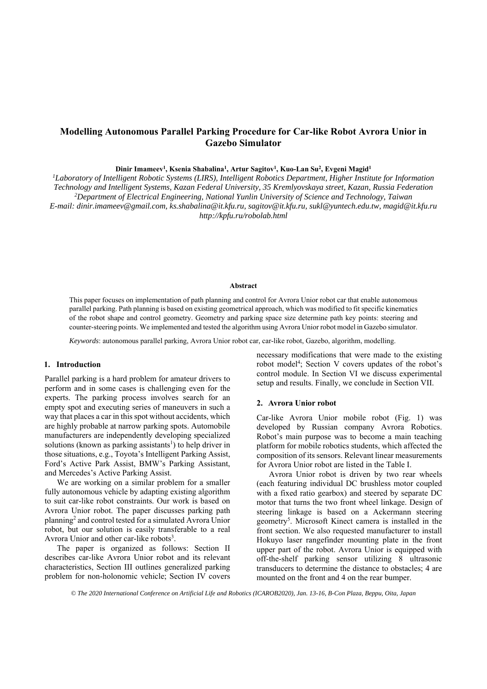# **Modelling Autonomous Parallel Parking Procedure for Car-like Robot Avrora Unior in Gazebo Simulator**

Dinir Imameev<sup>1</sup>, Ksenia Shabalina<sup>1</sup>, Artur Sagitov<sup>1</sup>, Kuo-Lan Su<sup>2</sup>, Evgeni Magid<sup>1</sup>

*1 Laboratory of Intelligent Robotic Systems (LIRS), Intelligent Robotics Department, Higher Institute for Information Technology and Intelligent Systems, Kazan Federal University, 35 Kremlyovskaya street, Kazan, Russia Federation 2 Department of Electrical Engineering, National Yunlin University of Science and Technology, Taiwan E-mail: dinir.imameev@gmail.com, ks.shabalina@it.kfu.ru, sagitov@it.kfu.ru, sukl@yuntech.edu.tw, magid@it.kfu.ru http://kpfu.ru/robolab.html* 

#### **Abstract**

This paper focuses on implementation of path planning and control for Avrora Unior robot car that enable autonomous parallel parking. Path planning is based on existing geometrical approach, which was modified to fit specific kinematics of the robot shape and control geometry. Geometry and parking space size determine path key points: steering and counter-steering points. We implemented and tested the algorithm using Avrora Unior robot model in Gazebo simulator.

*Keywords*: autonomous parallel parking, Avrora Unior robot car, car-like robot, Gazebo, algorithm, modelling.

#### **1. Introduction**

Parallel parking is a hard problem for amateur drivers to perform and in some cases is challenging even for the experts. The parking process involves search for an empty spot and executing series of maneuvers in such a way that places a car in this spot without accidents, which are highly probable at narrow parking spots. Automobile manufacturers are independently developing specialized solutions (known as parking assistants<sup>1</sup>) to help driver in those situations, e.g., Toyota's Intelligent Parking Assist, Ford's Active Park Assist, BMW's Parking Assistant, and Mercedes's Active Parking Assist.

We are working on a similar problem for a smaller fully autonomous vehicle by adapting existing algorithm to suit car-like robot constraints. Our work is based on Avrora Unior robot. The paper discusses parking path planning<sup>2</sup> and control tested for a simulated Avrora Unior robot, but our solution is easily transferable to a real Avrora Unior and other car-like robots<sup>3</sup>.

The paper is organized as follows: Section II describes car-like Avrora Unior robot and its relevant characteristics, Section III outlines generalized parking problem for non-holonomic vehicle; Section IV covers

necessary modifications that were made to the existing robot model<sup>4</sup>; Section V covers updates of the robot's control module. In Section VI we discuss experimental setup and results. Finally, we conclude in Section VII.

#### **2. Avrora Unior robot**

Car-like Avrora Unior mobile robot (Fig. 1) was developed by Russian company Avrora Robotics. Robot's main purpose was to become a main teaching platform for mobile robotics students, which affected the composition of its sensors. Relevant linear measurements for Avrora Unior robot are listed in the Table I.

Avrora Unior robot is driven by two rear wheels (each featuring individual DC brushless motor coupled with a fixed ratio gearbox) and steered by separate DC motor that turns the two front wheel linkage. Design of steering linkage is based on a Ackermann steering geometry5 . Microsoft Kinect camera is installed in the front section. We also requested manufacturer to install Hokuyo laser rangefinder mounting plate in the front upper part of the robot. Avrora Unior is equipped with off-the-shelf parking sensor utilizing 8 ultrasonic transducers to determine the distance to obstacles; 4 are mounted on the front and 4 on the rear bumper.

*© The 2020 International Conference on Artificial Life and Robotics (ICAROB2020), Jan. 13-16, B-Con Plaza, Beppu, Oita, Japan*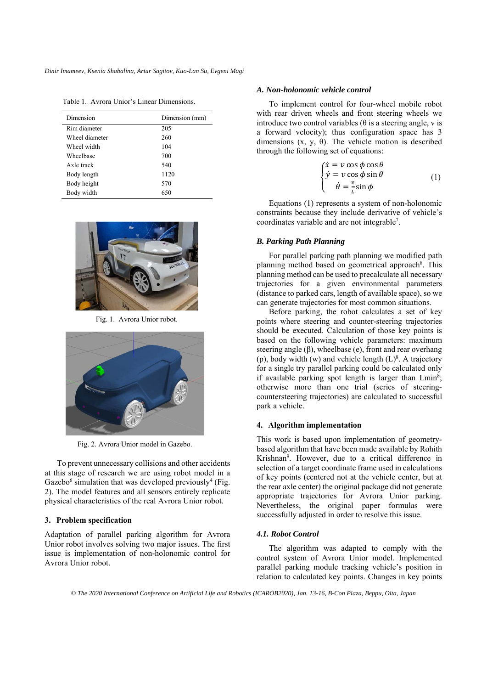Table 1. Avrora Unior's Linear Dimensions.

| Dimension      | Dimension (mm) |
|----------------|----------------|
| Rim diameter   | 205            |
| Wheel diameter | 260            |
| Wheel width    | 104            |
| Wheelbase      | 700            |
| Axle track     | 540            |
| Body length    | 1120           |
| Body height    | 570            |
| Body width     | 650            |



Fig. 1. Avrora Unior robot.



Fig. 2. Avrora Unior model in Gazebo.

To prevent unnecessary collisions and other accidents at this stage of research we are using robot model in a Gazebo<sup>6</sup> simulation that was developed previously<sup>4</sup> (Fig. 2). The model features and all sensors entirely replicate physical characteristics of the real Avrora Unior robot.

### **3. Problem specification**

Adaptation of parallel parking algorithm for Avrora Unior robot involves solving two major issues. The first issue is implementation of non-holonomic control for Avrora Unior robot.

#### *A. Non-holonomic vehicle control*

To implement control for four-wheel mobile robot with rear driven wheels and front steering wheels we introduce two control variables ( $\theta$  is a steering angle, v is a forward velocity); thus configuration space has 3 dimensions  $(x, y, \theta)$ . The vehicle motion is described through the following set of equations:

$$
\begin{cases}\n\dot{x} = v \cos \phi \cos \theta \\
\dot{y} = v \cos \phi \sin \theta \\
\dot{\theta} = \frac{v}{L} \sin \phi\n\end{cases}
$$
\n(1)

Equations (1) represents a system of non-holonomic constraints because they include derivative of vehicle's coordinates variable and are not integrable7 .

### *B. Parking Path Planning*

For parallel parking path planning we modified path planning method based on geometrical approach<sup>8</sup>. This planning method can be used to precalculate all necessary trajectories for a given environmental parameters (distance to parked cars, length of available space), so we can generate trajectories for most common situations.

Before parking, the robot calculates a set of key points where steering and counter-steering trajectories should be executed. Calculation of those key points is based on the following vehicle parameters: maximum steering angle  $(\beta)$ , wheelbase (e), front and rear overhang (p), body width (w) and vehicle length  $(L)^8$ . A trajectory for a single try parallel parking could be calculated only if available parking spot length is larger than Lmin<sup>8</sup>; otherwise more than one trial (series of steeringcountersteering trajectories) are calculated to successful park a vehicle.

## **4. Algorithm implementation**

This work is based upon implementation of geometrybased algorithm that have been made available by Rohith Krishnan9 . However, due to a critical difference in selection of a target coordinate frame used in calculations of key points (centered not at the vehicle center, but at the rear axle center) the original package did not generate appropriate trajectories for Avrora Unior parking. Nevertheless, the original paper formulas were successfully adjusted in order to resolve this issue.

#### *4.1. Robot Control*

The algorithm was adapted to comply with the control system of Avrora Unior model. Implemented parallel parking module tracking vehicle's position in relation to calculated key points. Changes in key points

*© The 2020 International Conference on Artificial Life and Robotics (ICAROB2020), Jan. 13-16, B-Con Plaza, Beppu, Oita, Japan*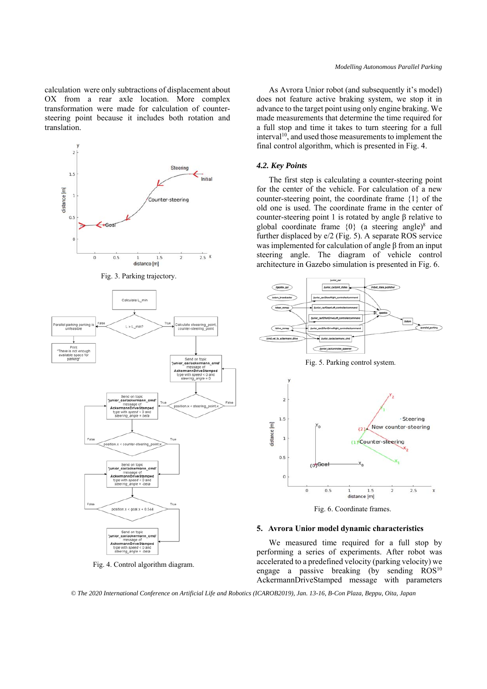calculation were only subtractions of displacement about OX from a rear axle location. More complex transformation were made for calculation of countersteering point because it includes both rotation and translation.



Fig. 4. Control algorithm diagram.

As Avrora Unior robot (and subsequently it's model) does not feature active braking system, we stop it in advance to the target point using only engine braking. We made measurements that determine the time required for a full stop and time it takes to turn steering for a full  $interval<sup>10</sup>$ , and used those measurements to implement the final control algorithm, which is presented in Fig. 4.

## *4.2. Key Points*

The first step is calculating a counter-steering point for the center of the vehicle. For calculation of a new counter-steering point, the coordinate frame {1} of the old one is used. The coordinate frame in the center of counter-steering point 1 is rotated by angle β relative to global coordinate frame  $\{0\}$  (a steering angle)<sup>8</sup> and further displaced by e/2 (Fig. 5). A separate ROS service was implemented for calculation of angle β from an input steering angle. The diagram of vehicle control architecture in Gazebo simulation is presented in Fig. 6.



### **5. Avrora Unior model dynamic characteristics**

We measured time required for a full stop by performing a series of experiments. After robot was accelerated to a predefined velocity (parking velocity) we engage a passive breaking (by sending  $ROS<sup>10</sup>$ AckermannDriveStamped message with parameters

*© The 2020 International Conference on Artificial Life and Robotics (ICAROB2019), Jan. 13-16, B-Con Plaza, Beppu, Oita, Japan*